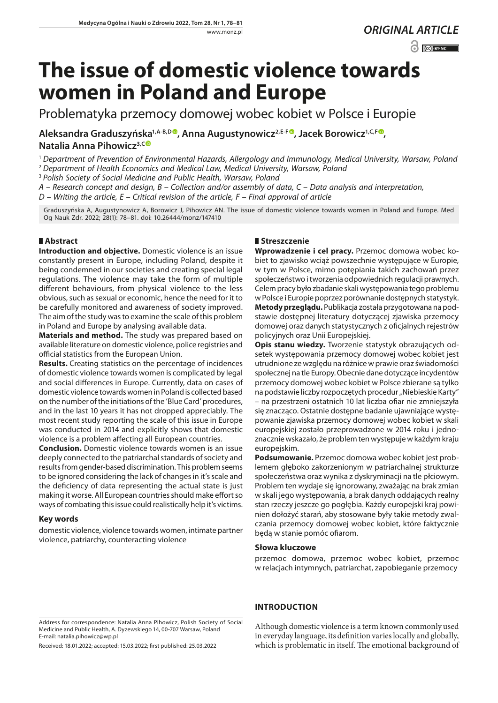$\odot$   $\odot$  BY-NC

# **The issue of domestic violence towards women in Poland and Europe**

Problematyka przemocy domowej wobec kobiet w Polsce i Europie

Aleksandra Graduszyńska<sup>1[,](https://orcid.org/0000-0003-2055-8354)A-B,D</sup>, Anna Augustynowicz<sup>2,E-F</sup>, Jacek Borowicz<sup>1,C,F</sup><sup>o</sup>, **Natalia Anna Pihowicz3,[C](https://orcid.org/0000-0001-9130-658X)**

<sup>1</sup> *Department of Prevention of Environmental Hazards, Allergology and Immunology, Medical University, Warsaw, Poland*

<sup>2</sup> *Department of Health Economics and Medical Law, Medical University, Warsaw, Poland*

<sup>3</sup> *Polish Society of Social Medicine and Public Health, Warsaw, Poland* 

*A – Research concept and design, B – Collection and/or assembly of data, C – Data analysis and interpretation,* 

*D – Writing the article, E – Critical revision of the article, F – Final approval of article*

Graduszyńska A, Augustynowicz A, Borowicz J, Pihowicz AN. The issue of domestic violence towards women in Poland and Europe. Med Og Nauk Zdr. 2022; 28(1): 78–81. doi: 10.26444/monz/147410

# **Abstract**

**Introduction and objective.** Domestic violence is an issue constantly present in Europe, including Poland, despite it being condemned in our societies and creating special legal regulations. The violence may take the form of multiple different behaviours, from physical violence to the less obvious, such as sexual or economic, hence the need for it to be carefully monitored and awareness of society improved. The aim of the study was to examine the scale of this problem in Poland and Europe by analysing available data.

**Materials and method.** The study was prepared based on available literature on domestic violence, police registries and official statistics from the European Union.

**Results.** Creating statistics on the percentage of incidences of domestic violence towards women is complicated by legal and social differences in Europe. Currently, data on cases of domestic violence towards women in Poland is collected based on the number of the initiations of the 'Blue Card' procedures, and in the last 10 years it has not dropped appreciably. The most recent study reporting the scale of this issue in Europe was conducted in 2014 and explicitly shows that domestic violence is a problem affecting all European countries.

**Conclusion.** Domestic violence towards women is an issue deeply connected to the patriarchal standards of society and results from gender-based discrimination. This problem seems to be ignored considering the lack of changes in it's scale and the deficiency of data representing the actual state is just making it worse. All European countries should make effort so ways of combating this issue could realistically help it's victims.

# **Key words**

domestic violence, violence towards women, intimate partner violence, patriarchy, counteracting violence

## **Streszczenie**

**Wprowadzenie i cel pracy.** Przemoc domowa wobec kobiet to zjawisko wciąż powszechnie występujące w Europie, w tym w Polsce, mimo potępiania takich zachowań przez społeczeństwo i tworzenia odpowiednich regulacji prawnych. Celem pracy było zbadanie skali występowania tego problemu w Polsce i Europie poprzez porównanie dostępnych statystyk. **Metody przeglądu.** Publikacja została przygotowana na podstawie dostępnej literatury dotyczącej zjawiska przemocy domowej oraz danych statystycznych z oficjalnych rejestrów policyjnych oraz Unii Europejskiej.

**Opis stanu wiedzy.** Tworzenie statystyk obrazujących odsetek występowania przemocy domowej wobec kobiet jest utrudnione ze względu na różnice w prawie oraz świadomości społecznej na tle Europy. Obecnie dane dotyczące incydentów przemocy domowej wobec kobiet w Polsce zbierane są tylko na podstawie liczby rozpoczętych procedur "Niebieskie Karty" – na przestrzeni ostatnich 10 lat liczba ofiar nie zmniejszyła się znacząco. Ostatnie dostępne badanie ujawniające występowanie zjawiska przemocy domowej wobec kobiet w skali europejskiej zostało przeprowadzone w 2014 roku i jednoznacznie wskazało, że problem ten występuje w każdym kraju europejskim.

**Podsumowanie.** Przemoc domowa wobec kobiet jest problemem głęboko zakorzenionym w patriarchalnej strukturze społeczeństwa oraz wynika z dyskryminacji na tle płciowym. Problem ten wydaje się ignorowany, zważając na brak zmian w skali jego występowania, a brak danych oddających realny stan rzeczy jeszcze go pogłębia. Każdy europejski kraj powinien dołożyć starań, aby stosowane były takie metody zwalczania przemocy domowej wobec kobiet, które faktycznie będą w stanie pomóc ofiarom.

## **Słowa kluczowe**

przemoc domowa, przemoc wobec kobiet, przemoc w relacjach intymnych, patriarchat, zapobieganie przemocy

Address for correspondence: Natalia Anna Pihowicz, Polish Society of Social Medicine and Public Health, A. Dyżewskiego 14, 00-707 Warsaw, Poland E-mail: natalia.pihowicz@wp.pl

Received: 18.01.2022; accepted: 15.03.2022; first published: 25.03.2022

## **INTRODUCTION**

Although domestic violence is a term known commonly used in everyday language, its definition varies locally and globally, which is problematic in itself. The emotional background of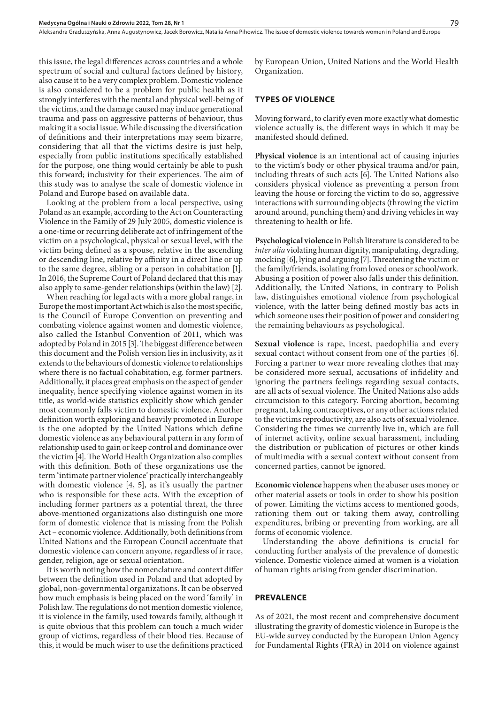Aleksandra Graduszyńska, Anna Augustynowicz, Jacek Borowicz, Natalia Anna Pihowicz . The issue of domestic violence towards women in Poland and Europe

this issue, the legal differences across countries and a whole spectrum of social and cultural factors defined by history, also cause it to be a very complex problem. Domestic violence is also considered to be a problem for public health as it strongly interferes with the mental and physical well-being of the victims, and the damage caused may induce generational trauma and pass on aggressive patterns of behaviour, thus making it a social issue. While discussing the diversification of definitions and their interpretations may seem bizarre, considering that all that the victims desire is just help, especially from public institutions specifically established for the purpose, one thing would certainly be able to push this forward; inclusivity for their experiences. The aim of this study was to analyse the scale of domestic violence in Poland and Europe based on available data.

Looking at the problem from a local perspective, using Poland as an example, according to the Act on Counteracting Violence in the Family of 29 July 2005, domestic violence is a one-time or recurring deliberate act of infringement of the victim on a psychological, physical or sexual level, with the victim being defined as a spouse, relative in the ascending or descending line, relative by affinity in a direct line or up to the same degree, sibling or a person in cohabitation [1]. In 2016, the Supreme Court of Poland declared that this may also apply to same-gender relationships (within the law) [2].

When reaching for legal acts with a more global range, in Europe the most important Act which is also the most specific, is the Council of Europe Convention on preventing and combating violence against women and domestic violence, also called the Istanbul Convention of 2011, which was adopted by Poland in 2015 [3]. The biggest difference between this document and the Polish version lies in inclusivity, as it extends to the behaviours of domestic violence to relationships where there is no factual cohabitation, e.g. former partners. Additionally, it places great emphasis on the aspect of gender inequality, hence specifying violence against women in its title, as world-wide statistics explicitly show which gender most commonly falls victim to domestic violence. Another definition worth exploring and heavily promoted in Europe is the one adopted by the United Nations which define domestic violence as any behavioural pattern in any form of relationship used to gain or keep control and dominance over the victim [4]. The World Health Organization also complies with this definition. Both of these organizations use the term 'intimate partner violence' practically interchangeably with domestic violence [4, 5], as it's usually the partner who is responsible for these acts. With the exception of including former partners as a potential threat, the three above-mentioned organizations also distinguish one more form of domestic violence that is missing from the Polish Act – economic violence. Additionally, both definitions from United Nations and the European Council accentuate that domestic violence can concern anyone, regardless of ir race, gender, religion, age or sexual orientation.

It is worth noting how the nomenclature and context differ between the definition used in Poland and that adopted by global, non-governmental organizations. It can be observed how much emphasis is being placed on the word 'family' in Polish law. The regulations do not mention domestic violence, it is violence in the family, used towards family, although it is quite obvious that this problem can touch a much wider group of victims, regardless of their blood ties. Because of this, it would be much wiser to use the definitions practiced

by European Union, United Nations and the World Health Organization.

### **TYPES OF VIOLENCE**

Moving forward, to clarify even more exactly what domestic violence actually is, the different ways in which it may be manifested should defined.

**Physical violence** is an intentional act of causing injuries to the victim's body or other physical trauma and/or pain, including threats of such acts [6]. The United Nations also considers physical violence as preventing a person from leaving the house or forcing the victim to do so, aggressive interactions with surrounding objects (throwing the victim around around, punching them) and driving vehicles in way threatening to health or life.

**Psychological violence** in Polish literature is considered to be *inter alia* violating human dignity, manipulating, degrading, mocking [6], lying and arguing [7]. Threatening the victim or the family/friends, isolating from loved ones or school/work. Abusing a position of power also falls under this definition. Additionally, the United Nations, in contrary to Polish law, distinguishes emotional violence from psychological violence, with the latter being defined mostly bas acts in which someone uses their position of power and considering the remaining behaviours as psychological.

**Sexual violence** is rape, incest, paedophilia and every sexual contact without consent from one of the parties [6]. Forcing a partner to wear more revealing clothes that may be considered more sexual, accusations of infidelity and ignoring the partners feelings regarding sexual contacts, are all acts of sexual violence. The United Nations also adds circumcision to this category. Forcing abortion, becoming pregnant, taking contraceptives, or any other actions related to the victims reproductivity, are also acts of sexual violence. Considering the times we currently live in, which are full of internet activity, online sexual harassment, including the distribution or publication of pictures or other kinds of multimedia with a sexual context without consent from concerned parties, cannot be ignored.

**Economic violence** happens when the abuser uses money or other material assets or tools in order to show his position of power. Limiting the victims access to mentioned goods, rationing them out or taking them away, controlling expenditures, bribing or preventing from working, are all forms of economic violence.

Understanding the above definitions is crucial for conducting further analysis of the prevalence of domestic violence. Domestic violence aimed at women is a violation of human rights arising from gender discrimination.

#### **PREVALENCE**

As of 2021, the most recent and comprehensive document illustrating the gravity of domestic violence in Europe is the EU-wide survey conducted by the European Union Agency for Fundamental Rights (FRA) in 2014 on violence against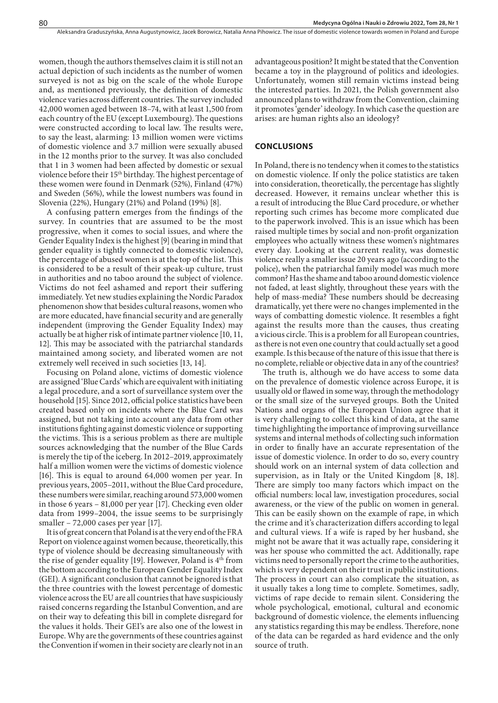women, though the authors themselves claim it is still not an actual depiction of such incidents as the number of women surveyed is not as big on the scale of the whole Europe and, as mentioned previously, the definition of domestic violence varies across different countries. The survey included 42,000 women aged between 18–74, with at least 1,500 from each country of the EU (except Luxembourg). The questions were constructed according to local law. The results were, to say the least, alarming: 13 million women were victims of domestic violence and 3.7 million were sexually abused in the 12 months prior to the survey. It was also concluded that 1 in 3 women had been affected by domestic or sexual violence before their 15th birthday. The highest percentage of these women were found in Denmark (52%), Finland (47%) and Sweden (56%), while the lowest numbers was found in Slovenia (22%), Hungary (21%) and Poland (19%) [8].

A confusing pattern emerges from the findings of the survey. In countries that are assumed to be the most progressive, when it comes to social issues, and where the Gender Equality Index is the highest [9] (bearing in mind that gender equality is tightly connected to domestic violence), the percentage of abused women is at the top of the list. This is considered to be a result of their speak-up culture, trust in authorities and no taboo around the subject of violence. Victims do not feel ashamed and report their suffering immediately. Yet new studies explaining the Nordic Paradox phenomenon show that besides cultural reasons, women who are more educated, have financial security and are generally independent (improving the Gender Equality Index) may actually be at higher risk of intimate partner violence [10, 11, 12]. This may be associated with the patriarchal standards maintained among society, and liberated women are not extremely well received in such societies [13, 14].

Focusing on Poland alone, victims of domestic violence are assigned 'Blue Cards' which are equivalent with initiating a legal procedure, and a sort of surveillance system over the household [15]. Since 2012, official police statistics have been created based only on incidents where the Blue Card was assigned, but not taking into account any data from other institutions fighting against domestic violence or supporting the victims. This is a serious problem as there are multiple sources acknowledging that the number of the Blue Cards is merely the tip of the iceberg. In 2012–2019, approximately half a million women were the victims of domestic violence [16]. This is equal to around 64,000 women per year. In previous years, 2005–2011, without the Blue Card procedure, these numbers were similar, reaching around 573,000 women in those 6 years – 81,000 per year [17]. Checking even older data from 1999–2004, the issue seems to be surprisingly smaller – 72,000 cases per year [17].

It is of great concern that Poland is at the very end of the FRA Report on violence against women because, theoretically, this type of violence should be decreasing simultaneously with the rise of gender equality [19]. However, Poland is  $4<sup>th</sup>$  from the bottom according to the European Gender Equality Index (GEI). A significant conclusion that cannot be ignored is that the three countries with the lowest percentage of domestic violence across the EU are all countries that have suspiciously raised concerns regarding the Istanbul Convention, and are on their way to defeating this bill in complete disregard for the values it holds. Their GEI's are also one of the lowest in Europe. Why are the governments of these countries against the Convention if women in their society are clearly not in an

advantageous position? It might be stated that the Convention became a toy in the playground of politics and ideologies. Unfortunately, women still remain victims instead being the interested parties. In 2021, the Polish government also announced plans to withdraw from the Convention, claiming it promotes 'gender' ideology. In which case the question are arises: are human rights also an ideology?

#### **CONCLUSIONS**

In Poland, there is no tendency when it comes to the statistics on domestic violence. If only the police statistics are taken into consideration, theoretically, the percentage has slightly decreased. However, it remains unclear whether this is a result of introducing the Blue Card procedure, or whether reporting such crimes has become more complicated due to the paperwork involved. This is an issue which has been raised multiple times by social and non-profit organization employees who actually witness these women's nightmares every day. Looking at the current reality, was domestic violence really a smaller issue 20 years ago (according to the police), when the patriarchal family model was much more common? Has the shame and taboo around domestic violence not faded, at least slightly, throughout these years with the help of mass-media? These numbers should be decreasing dramatically, yet there were no changes implemented in the ways of combatting domestic violence. It resembles a fight against the results more than the causes, thus creating a vicious circle. This is a problem for all European countries, as there is not even one country that could actually set a good example. Is this because of the nature of this issue that there is no complete, reliable or objective data in any of the countries?

The truth is, although we do have access to some data on the prevalence of domestic violence across Europe, it is usually old or flawed in some way, through the methodology or the small size of the surveyed groups. Both the United Nations and organs of the European Union agree that it is very challenging to collect this kind of data, at the same time highlighting the importance of improving surveillance systems and internal methods of collecting such information in order to finally have an accurate representation of the issue of domestic violence. In order to do so, every country should work on an internal system of data collection and supervision, as in Italy or the United Kingdom [8, 18]. There are simply too many factors which impact on the official numbers: local law, investigation procedures, social awareness, or the view of the public on women in general. This can be easily shown on the example of rape, in which the crime and it's characterization differs according to legal and cultural views. If a wife is raped by her husband, she might not be aware that it was actually rape, considering it was her spouse who committed the act. Additionally, rape victims need to personally report the crime to the authorities, which is very dependent on their trust in public institutions. The process in court can also complicate the situation, as it usually takes a long time to complete. Sometimes, sadly, victims of rape decide to remain silent. Considering the whole psychological, emotional, cultural and economic background of domestic violence, the elements influencing any statistics regarding this may be endless. Therefore, none of the data can be regarded as hard evidence and the only source of truth.